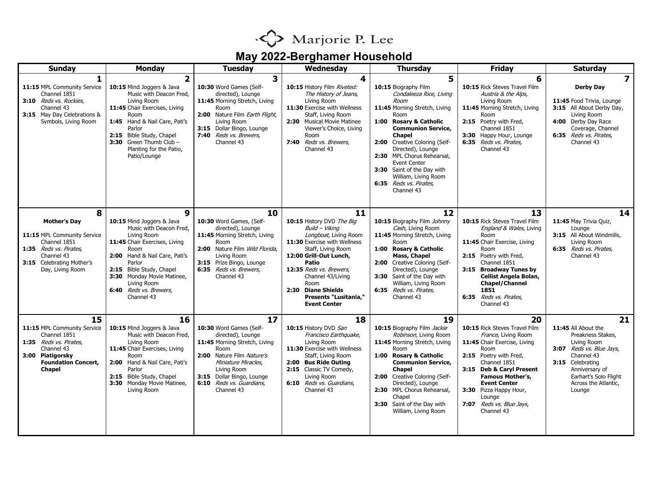

## **May 2022-Berghamer Household**

| <b>Sunday</b>                                                                                                                                                    | <b>Monday</b>                                                                                                                                                                                                                                                                 | <b>Tuesday</b>                                                                                                                                                                                                                        | Wednesday                                                                                                                                                                                                                                                                                                | <b>Thursday</b>                                                                                                                                                                                                                                                                                                                                                            | <b>Friday</b>                                                                                                                                                                                                                                                                                            | <b>Saturday</b>                                                                                                                                                                                          |
|------------------------------------------------------------------------------------------------------------------------------------------------------------------|-------------------------------------------------------------------------------------------------------------------------------------------------------------------------------------------------------------------------------------------------------------------------------|---------------------------------------------------------------------------------------------------------------------------------------------------------------------------------------------------------------------------------------|----------------------------------------------------------------------------------------------------------------------------------------------------------------------------------------------------------------------------------------------------------------------------------------------------------|----------------------------------------------------------------------------------------------------------------------------------------------------------------------------------------------------------------------------------------------------------------------------------------------------------------------------------------------------------------------------|----------------------------------------------------------------------------------------------------------------------------------------------------------------------------------------------------------------------------------------------------------------------------------------------------------|----------------------------------------------------------------------------------------------------------------------------------------------------------------------------------------------------------|
| 1                                                                                                                                                                | $\overline{2}$                                                                                                                                                                                                                                                                | 3                                                                                                                                                                                                                                     | 4                                                                                                                                                                                                                                                                                                        | 5                                                                                                                                                                                                                                                                                                                                                                          | 6                                                                                                                                                                                                                                                                                                        | $\overline{7}$                                                                                                                                                                                           |
| 11:15 MPL Community Service<br>Channel 1851<br>3:10 Reds vs. Rockies.<br>Channel 43<br>3:15 May Day Celebrations &<br>Symbols, Living Room                       | 10:15 Mind Joggers & Java<br>Music with Deacon Fred,<br>Living Room<br>11:45 Chair Exercises, Living<br>Room<br>1:45 Hand & Nail Care, Pati's<br>Parlor<br>2:15 Bible Study, Chapel<br>3:30 Green Thumb Club -<br>Planting for the Patio,<br>Patio/Lounge                     | 10:30 Word Games (Self-<br>directed), Lounge<br>11:45 Morning Stretch, Living<br>Room<br>2:00 Nature Film Earth Flight,<br>Living Room<br>3:15 Dollar Bingo, Lounge<br>7:40 Reds vs. Brewers,<br>Channel 43                           | 10:15 History Film Riveted:<br>The History of Jeans,<br>Living Room<br>11:30 Exercise with Wellness<br>Staff, Living Room<br>2:30 Musical Movie Matinee<br>Viewer's Choice, Living<br>Room<br>7:40 Reds vs. Brewers,<br>Channel 43                                                                       | 10:15 Biography Film<br>Condaleeza Rice, Living<br>Room<br>11:45 Morning Stretch, Living<br>Room<br>1:00 Rosary & Catholic<br><b>Communion Service,</b><br>Chapel<br>2:00 Creative Coloring (Self-<br>Directed), Lounge<br>2:30 MPL Chorus Rehearsal,<br><b>Event Center</b><br>3:30 Saint of the Day with<br>William, Living Room<br>6:35 Reds vs. Pirates,<br>Channel 43 | 10:15 Rick Steves Travel Film<br>Austria & the Alps,<br>Living Room<br>11:45 Morning Stretch, Living<br>Room<br>2:15 Poetry with Fred,<br>Channel 1851<br>3:30 Happy Hour, Lounge<br>6:35 Reds vs. Pirates,<br>Channel 43                                                                                | <b>Derby Day</b><br>11:45 Food Trivia, Lounge<br>3:15 All About Derby Day,<br>Living Room<br>4:00 Derby Day Race<br>Coverage, Channel<br>6:35 Reds vs. Pirates,<br>Channel 43                            |
| 8<br><b>Mother's Day</b><br>11:15 MPL Community Service<br>Channel 1851<br>1:35 Reds vs. Pirates.<br>Channel 43<br>3:15 Celebrating Mother's<br>Day, Living Room | 9<br>10:15 Mind Joggers & Java<br>Music with Deacon Fred,<br>Living Room<br>11:45 Chair Exercises, Living<br>Room<br>2:00 Hand & Nail Care, Pati's<br>Parlor<br>2:15 Bible Study, Chapel<br>3:30 Monday Movie Matinee,<br>Living Room<br>6:40 Reds vs. Brewers,<br>Channel 43 | 10<br>10:30 Word Games, (Self-<br>directed), Lounge<br>11:45 Morning Stretch, Living<br>Room<br>2:00 Nature Film Wild Florida,<br>Living Room<br>3:15 Prize Bingo, Lounge<br>6:35 Reds vs. Brewers,<br>Channel 43                     | 11<br>10:15 History DVD The Big<br>Build - Viking<br>Longboat, Living Room<br>11:30 Exercise with Wellness<br>Staff, Living Room<br>12:00 Grill-Out Lunch,<br>Patio<br>12:35 Reds vs. Brewers,<br>Channel 43/Living<br>Room<br>2:30 Diane Shields<br><b>Presents "Lusitania,"</b><br><b>Event Center</b> | 12<br>10:15 Biography Film Johnny<br>Cash, Living Room<br>11:45 Morning Stretch, Living<br>Room<br>1:00 Rosary & Catholic<br>Mass, Chapel<br>2:00 Creative Coloring (Self-<br>Directed), Lounge<br>3:30 Saint of the Day with<br>William, Living Room<br>6:35 Reds vs. Pirates,<br>Channel 43                                                                              | 13<br>10:15 Rick Steves Travel Film<br>England & Wales, Living<br>Room<br>11:45 Chair Exercise, Living<br>Room<br>2:15 Poetry with Fred,<br>Channel 1851<br>3:15 Broadway Tunes by<br>Cellist Angela Bolan,<br><b>Chapel/Channel</b><br>1851<br>6:35 Reds vs. Pirates,<br>Channel 43                     | 14<br>11:45 May Trivia Quiz,<br>Lounge<br>3:15 All About Windmills,<br>Living Room<br>6:35 Reds vs. Pirates,<br>Channel 43                                                                               |
| 15<br>11:15 MPL Community Service<br>Channel 1851<br>1:35 Reds vs. Pirates.<br>Channel 43<br>3:00<br>Piatigorsky<br><b>Foundation Concert,</b><br><b>Chapel</b>  | 16<br>10:15 Mind Joggers & Java<br>Music with Deacon Fred,<br>Living Room<br>11:45 Chair Exercises, Living<br>Room<br>2:00 Hand & Nail Care, Pati's<br>Parlor<br>2:15 Bible Study, Chapel<br>3:30 Monday Movie Matinee,<br>Living Room                                        | 17<br>10:30 Word Games (Self-<br>directed), Lounge<br>11:45 Morning Stretch, Living<br>Room<br>2:00 Nature Film Nature's<br>Miniature Miracles,<br>Living Room<br>3:15 Dollar Bingo, Lounge<br>6:10 Reds vs. Guardians,<br>Channel 43 | 18<br>10:15 History DVD San<br>Francisco Earthquake,<br>Living Room<br>11:30 Exercise with Wellness<br>Staff, Living Room<br><b>Bus Ride Outing</b><br>2:00<br>2:15 Classic TV Comedy,<br>Living Room<br>6:10 Reds vs. Guardians,<br>Channel 43                                                          | 19<br>10:15 Biography Film Jackie<br>Robinson, Living Room<br>11:45 Morning Stretch, Living<br>Room<br><b>Rosary &amp; Catholic</b><br>1:00<br><b>Communion Service,</b><br><b>Chapel</b><br>2:00 Creative Coloring (Self-<br>Directed), Lounge<br>2:30 MPL Chorus Rehearsal,<br>Chapel<br>3:30 Saint of the Day with<br>William, Living Room                              | 20<br>10:15 Rick Steves Travel Film<br>France, Living Room<br>11:45 Chair Exercise, Living<br>Room<br>2:15 Poetry with Fred,<br>Channel 1851<br>3:15 Deb & Caryl Present<br><b>Famous Mother's,</b><br><b>Event Center</b><br>3:30 Pizza Happy Hour,<br>Lounge<br>7:07 Reds vs. Blue Jays,<br>Channel 43 | 21<br>11:45 All About the<br>Preakness Stakes,<br>Living Room<br>3:07 Reds vs. Blue Jays,<br>Channel 43<br>3:15 Celebrating<br>Anniversary of<br>Earhart's Solo Flight<br>Across the Atlantic,<br>Lounge |